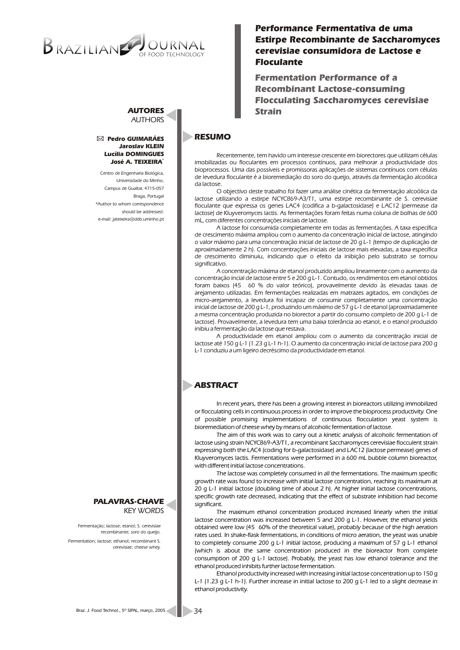# OF FOOD TECHNOLOGY

# *Performance Fermentativa de uma Estirpe Recombinante de Saccharomyces cerevisiae consumidora de Lactose e Floculante*

*Fermentation Performance of a Recombinant Lactose-consuming Flocculating Saccharomyces cerevisiae Strain*

# **RESUMO**

*Recentemente, tem havido um interesse crescente em biorectores que utilizam células imobilizadas ou floculantes em processos contínuos, para melhorar a productividade dos bioprocessos. Uma das possíveis e promissoras aplicações de sistemas contínuos com células de levedura floculante é a bioremediação do soro do queijo, através da fermentação alcoólica da lactose.*

*O objectivo deste trabalho foi fazer uma análise cinética da fermentação alcoólica da lactose utilizando a estirpe NCYC869-A3/T1, uma estirpe recombinante de S. cerevisiae floculante que expressa os genes LAC4 (codifica a b-galactosidase) e LAC12 (permease da lactose) de Kluyveromyces lactis. As fermentações foram feitas numa coluna de bolhas de 600 mL, com diferentes concentrações iniciais de lactose.*

*A lactose foi consumida completamente em todas as fermentações. A taxa específica de crescimento máxima ampliou com o aumento da concentração inicial de lactose, atingindo o valor máximo para uma concentração inicial de lactose de 20 g L-1 (tempo de duplicação de aproximadamente 2 h). Com concentrações iniciais de lactose mais elevadas, a taxa específica de crescimento diminuiu, indicando que o efeito da inibição pelo substrato se tornou significativo.*

*A concentração máxima de etanol produzido ampliou linearmente com o aumento da concentração incial de lactose entre 5 e 200 g L-1. Contudo, os rendimentos em etanol obtidos foram baixos (45 60 % do valor teórico), provavelmente devido às elevadas taxas de arejamento utilizadas. Em fermentações realizadas em matrazes agitados, em condições de micro-arejamento, a levedura foi incapaz de consumir completamente uma concentração inicial de lactose de 200 g L-1, produzindo um máximo de 57 g L-1 de etanol (aproximadamente a mesma concentração produzida no biorector a partir do consumo completo de 200 g L-1 de lactose). Provavelmente, a levedura tem uma baixa tolerância ao etanol, e o etanol produzido inibiu a fermentação da lactose que restava.*

*A productividade em etanol ampliou com o aumento da concentração inicial de lactose até 150 g L-1 (1.23 g L-1 h-1). O aumento da concentração inicial de lactose para 200 g L-1 conduziu a um ligeiro decréscimo da productividade em etanol.*

# **ABSTRACT**

*In recent years, there has been a growing interest in bioreactors utilizing immobilized or flocculating cells in continuous process in order to improve the bioprocess productivity. One of possible promising implementations of continuous flocculation yeast system is bioremediation of cheese whey by means of alcoholic fermentation of lactose.*

*The aim of this work was to carry out a kinetic analysis of alcoholic fermentation of lactose using strain NCYC869-A3/T1, a recombinant Saccharomyces cerevisiae flocculent strain expressing both the LAC4 (coding for b-galactosidase) and LAC12 (lactose permease) genes of Kluyveromyces lactis. Fermentations were performed in a 600 mL bubble column bioreactor, with different initial lactose concentrations.*

*The lactose was completely consumed in all the fermentations. The maximum specific growth rate was found to increase with initial lactose concentration, reaching its maximum at 20 g L-1 initial lactose (doubling time of about 2 h). At higher initial lactose concentrations, specific growth rate decreased, indicating that the effect of substrate inhibition had become significant.* 

*The maximum ethanol concentration produced increased linearly when the initial lactose concentration was increased between 5 and 200 g L-1. However, the ethanol yields obtained were low (45 60% of the theoretical value), probably because of the high aeration rates used. In shake-flask fermentations, in conditions of micro aeration, the yeast was unable*  to completely consume 200 g L-1 initial lactose, producing a maximum of 57 g L-1 ethanol *(which is about the same concentration produced in the bioreactor from complete consumption of 200 g L-1 lactose). Probably, the yeast has low ethanol tolerance and the ethanol produced inhibits further lactose fermentation.*

*Ethanol productivity increased with increasing initial lactose concentration up to 150 g L-1 (1.23 g L-1 h-1). Further increase in initial lactose to 200 g L-1 led to a slight decrease in ethanol productivity.*

*AUTORES AUTHORS*

#### *Pedro GUIMARÃES Jaroslav KLEIN Lucília DOMINGUES \* José A. TEIXEIRA*

*Centro de Engenharia Biológica, Universidade do Minho, Campus de Gualtar, 4715-057 Braga, Portugal \*Author to whom correspondence should be addressed. e-mail: jateixeira@deb.uminho.pt*

*PALAVRAS-CHAVE KEY WORDS*

*Fermentação; lactose; etanol; S. cerevisiae recombinante; soro do queijo.*

*Fermentation; lactose; ethanol; recombinant S. cerevisiae; cheese whey.*

*Braz. J. Food Technol., 5º SIPAL, março, 2005*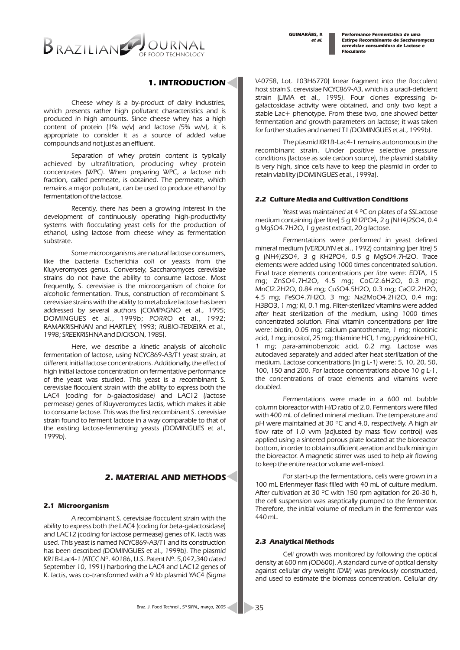*et al. GUIMARÃES, P.*

*Performance Fermentativa de uma Estirpe Recombinante de Saccharomyces cerevisiae consumidora de Lactose e Floculante*



# *1. INTRODUCTION*

*Cheese whey is a by-product of dairy industries, which presents rather high pollutant characteristics and is produced in high amounts. Since cheese whey has a high content of protein (1% w/v) and lactose (5% w/v), it is appropriate to consider it as a source of added value compounds and not just as an effluent.*

*Separation of whey protein content is typically achieved by ultrafiltration, producing whey protein concentrates (WPC). When preparing WPC, a lactose rich fraction, called permeate, is obtained. The permeate, which remains a major pollutant, can be used to produce ethanol by fermentation of the lactose.*

*Recently, there has been a growing interest in the development of continuously operating high-productivity systems with flocculating yeast cells for the production of ethanol, using lactose from cheese whey as fermentation substrate.*

*Some microorganisms are natural lactose consumers, like the bacteria Escherichia coli or yeasts from the Kluyveromyces genus. Conversely, Saccharomyces cerevisiae strains do not have the ability to consume lactose. Most frequently, S. cerevisiae is the microorganism of choice for alcoholic fermentation. Thus, construction of recombinant S. cerevisiae strains with the ability to metabolize lactose has been addressed by several authors (COMPAGNO et al., 1995; DOMINGUES et al., 1999b; PORRO et al., 1992; RAMAKRISHNAN and HARTLEY, 1993; RUBIO-TEIXEIRA et al., 1998; SREEKRISHNA and DICKSON, 1985).*

*Here, we describe a kinetic analysis of alcoholic fermentation of lactose, using NCYC869-A3/T1 yeast strain, at different initial lactose concentrations. Additionally, the effect of high initial lactose concentration on fermentative performance of the yeast was studied. This yeast is a recombinant S. cerevisiae flocculent strain with the ability to express both the LAC4 (coding for b-galactosidase) and LAC12 (lactose permease) genes of Kluyveromyces lactis, which makes it able to consume lactose. This was the first recombinant S. cerevisiae strain found to ferment lactose in a way comparable to that of the existing lactose-fermenting yeasts (DOMINGUES et al., 1999b).*

# *2. MATERIAL AND METHODS*

### *2.1 Microorganism*

*A recombinant S. cerevisiae flocculent strain with the ability to express both the LAC4 (coding for beta-galactosidase) and LAC12 (coding for lactose permease) genes of K. lactis was used. This yeast is named NCYC869-A3/T1 and its construction has been described (DOMINGUES et al., 1999b). The plasmid KR1B-Lac4-1 (ATCC Nº. 40186, U.S. Patent Nº. 5,047,340 dated September 10, 1991) harboring the LAC4 and LAC12 genes of K. lactis, was co-transformed with a 9 kb plasmid YAC4 (Sigma* 

*V-0758, Lot. 103H6770) linear fragment into the flocculent host strain S. cerevisiae NCYC869-A3, which is a uracil-deficient strain (LIMA et al., 1995). Four clones expressing bgalactosidase activity were obtained, and only two kept a stable Lac+ phenotype. From these two, one showed better fermentation and growth parameters on lactose; it was taken for further studies and named T1 (DOMINGUES et al., 1999b).* 

*The plasmid KR1B-Lac4-1 remains autonomous in the recombinant strain. Under positive selective pressure conditions (lactose as sole carbon source), the plasmid stability is very high, since cells have to keep the plasmid in order to retain viability (DOMINGUES et al., 1999a).* 

### *2.2 Culture Media and Cultivation Conditions*

*Yeast was maintained at 4 ºC on plates of a SSLactose medium containing (per litre) 5 g KH2PO4, 2 g (NH4)2SO4, 0.4 g MgSO4.7H2O, 1 g yeast extract, 20 g lactose.*

*Fermentations were performed in yeast defined mineral medium (VERDUYN et al., 1992) containing (per litre) 5 g (NH4)2SO4, 3 g KH2PO4, 0.5 g MgSO4.7H2O. Trace elements were added using 1000 times concentrated solution. Final trace elements concentrations per litre were: EDTA, 15 mg; ZnSO4.7H2O, 4.5 mg; CoCl2.6H2O, 0.3 mg; MnCl2.2H2O, 0.84 mg; CuSO4.5H2O, 0.3 mg; CaCl2.2H2O, 4.5 mg; FeSO4.7H2O, 3 mg; Na2MoO4.2H2O, 0.4 mg; H3BO3, 1 mg; KI, 0.1 mg. Filter-sterilized vitamins were added after heat sterilization of the medium, using 1000 times concentrated solution. Final vitamin concentrations per litre were: biotin, 0.05 mg; calcium pantothenate, 1 mg; nicotinic acid, 1 mg; inositol, 25 mg; thiamine HCl, 1 mg; pyridoxine HCl, 1 mg; para-aminobenzoic acid, 0.2 mg. Lactose was autoclaved separately and added after heat sterilization of the medium. Lactose concentrations (in g L-1) were: 5, 10, 20, 50, 100, 150 and 200. For lactose concentrations above 10 g L-1, the concentrations of trace elements and vitamins were doubled.* 

*Fermentations were made in a 600 mL bubble column bioreactor with H/D ratio of 2.0. Fermentors were filled with 400 mL of defined mineral medium. The temperature and pH were maintained at 30 ºC and 4.0, respectively. A high air flow rate of 1.0 vvm (adjusted by mass flow control) was applied using a sintered porous plate located at the bioreactor bottom, in order to obtain sufficient aeration and bulk mixing in the bioreactor. A magnetic stirrer was used to help air flowing to keep the entire reactor volume well-mixed.*

*For start-up the fermentations, cells were grown in a*  100 mL Erlenmeyer flask filled with 40 mL of culture medium. *After cultivation at 30 ºC with 150 rpm agitation for 20-30 h, the cell suspension was aseptically pumped to the fermentor. Therefore, the initial volume of medium in the fermentor was 440 mL.* 

## *2.3 Analytical Methods*

*Cell growth was monitored by following the optical density at 600 nm (OD600). A standard curve of optical density against cellular dry weight (DW) was previously constructed, and used to estimate the biomass concentration. Cellular dry*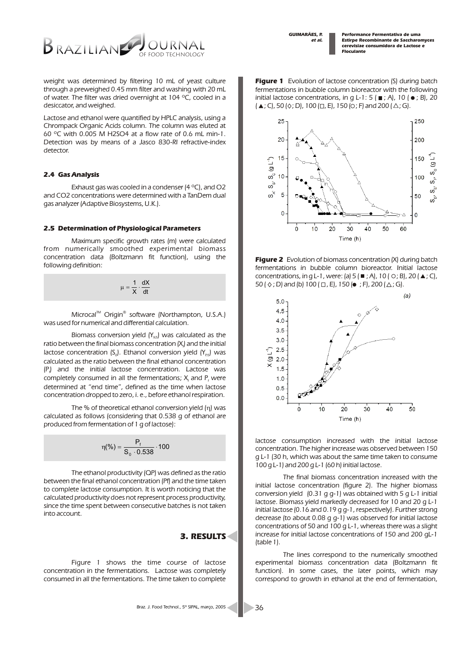*Performance Fermentativa de uma Estirpe Recombinante de Saccharomyces cerevisiae consumidora de Lactose e Floculante*



*weight was determined by filtering 10 mL of yeast culture through a preweighed 0.45 mm filter and washing with 20 mL of water. The filter was dried overnight at 104 ºC, cooled in a desiccator, and weighed.* 

*Lactose and ethanol were quantified by HPLC analysis, using a Chrompack Organic Acids column. The column was eluted at 60 ºC with 0.005 M H2SO4 at a flow rate of 0.6 mL min-1. Detection was by means of a Jasco 830-RI refractive-index detector.*

#### *2.4 Gas Analysis*

*Exhaust gas was cooled in a condenser (4 ºC), and O2 and CO2 concentrations were determined with a TanDem dual gas analyzer (Adaptive Biosystems, U.K.).* 

#### *2.5 Determination of Physiological Parameters*

*Maximum specific growth rates (m) were calculated from numerically smoothed experimental biomass concentration data (Boltzmann fit function), using the following definition:*

> dt dX  $\overline{x}$ 1

*Microcal<sup>™</sup> Origin<sup>®</sup> software (Northampton, U.S.A.) was used for numerical and differential calculation.*

*Biomass conversion yield (Y<sub>xx</sub>) was calculated as the ratio between the final biomass concentration*  $(X_i)$  *and the initial lactose concentration (S<sub>0</sub>). Ethanol conversion yield (Y<sub>ps</sub>) was calculated as the ratio between the final ethanol concentration (P ) and the initial lactose concentration. Lactose was <sup>f</sup> completely consumed in all the fermentations: X and P were determined at "end time", defined as the time when lactose concentration dropped to zero, i. e., before ethanol respiration.* 

*The % of theoretical ethanol conversion yield ( ) was calculated as follows (considering that 0.538 g of ethanol are produced from fermentation of 1 g of lactose):* 

$$
(\%) \quad \frac{P_f}{S_0 \quad 0.538} \quad 100
$$

*The ethanol productivity (QP) was defined as the ratio between the final ethanol concentration (Pf) and the time taken to complete lactose consumption. It is worth noticing that the calculated productivity does not represent process productivity, since the time spent between consecutive batches is not taken into account.*

## *3. RESULTS*

*Figure 1 shows the time course of lactose concentration in the fermentations. Lactose was completely consumed in all the fermentations. The time taken to complete* 

*Figure 1 Evolution of lactose concentration (S) during batch fermentations in bubble column bioreactor with the following initial lactose concentrations, in g L-1: 5 (* $\blacksquare$ *; A), 10 (* $\lozenge$ *; B), 20*  $(A; C), 50 \, (\diamond; D), 100 \, (\square, E), 150 \, (\odot; F)$  and 200  $(\triangle; G).$ 







*lactose consumption increased with the initial lactose concentration. The higher increase was observed between 150 g L-1 (30 h, which was about the same time taken to consume 100 g L-1) and 200 g L-1 (60 h) initial lactose.*

*The final biomass concentration increased with the initial lactose concentration (figure 2). The higher biomass conversion yield (0.31 g g-1) was obtained with 5 g L-1 initial lactose. Biomass yield markedly decreased for 10 and 20 g L-1 initial lactose (0.16 and 0.19 g g-1, respectively). Further strong decrease (to about 0.08 g g-1) was observed for initial lactose concentrations of 50 and 100 g L-1, whereas there was a slight increase for initial lactose concentrations of 150 and 200 gL-1 (table 1).*

*The lines correspond to the numerically smoothed experimental biomass concentration data (Boltzmann fit function). In some cases, the later points, which may correspond to growth in ethanol at the end of fermentation,*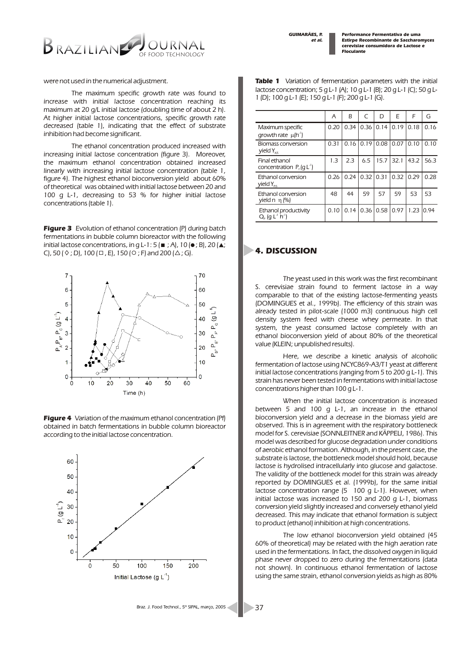*Performance Fermentativa de uma Estirpe Recombinante de Saccharomyces cerevisiae consumidora de Lactose e Floculante*



*were not used in the numerical adjustment.*

*The maximum specific growth rate was found to increase with initial lactose concentration reaching its maximum at 20 g/L initial lactose (doubling time of about 2 h). At higher initial lactose concentrations, specific growth rate decreased (table 1), indicating that the effect of substrate inhibition had become significant.*

*The ethanol concentration produced increased with increasing initial lactose concentration (figure 3). Moreover, the maximum ethanol concentration obtained increased linearly with increasing initial lactose concentration (table 1, figure 4). The highest ethanol bioconversion yield about 60% of theoretical was obtained with initial lactose between 20 and 100 g L-1, decreasing to 53 % for higher initial lactose concentrations (table 1).*

*Figure 3 Evolution of ethanol concentration (P) during batch fermentations in bubble column bioreactor with the following initial lactose concentrations, in g L-1: 5 (* $\equiv$ *; A), 10 (* $\bullet$ *; B), 20 (* $\triangle$ *; C*), 50 (  $\diamond$  ; D), 100 ( $\Box$ , E), 150 ( $\circ$  ; F) and 200 ( $\triangle$ ; G).



*Figure 4 Variation of the maximum ethanol concentration (Pf) obtained in batch fermentations in bubble column bioreactor according to the initial lactose concentration.*



*Table 1 Variation of fermentation parameters with the initial lactose concentration; 5 g L-1 (A); 10 g L-1 (B); 20 g L-1 (C); 50 g L-1 (D); 100 g L-1 (E); 150 g L-1 (F); 200 g L-1 (G).*

|                                                                     | A    | R    | $\subset$   | D           | F    | F    | G     |
|---------------------------------------------------------------------|------|------|-------------|-------------|------|------|-------|
| Maximum specific<br>growth rate<br>$(h^{\cdot})$                    | 0.20 | 0.34 |             | $0.36$ 0.14 | 0.19 | 0.18 | 0.16  |
| Biomass conversion<br>yield $Y_{xx}$                                | 0.31 | 0.16 | 0.19        | 0.08        | 0.07 | 0.10 | 0.10  |
| Final ethanol<br>concentration $P_{\ell}(q L^{\prime})$             | 1.3  | 2.3  | 6.5         | 15.7        | 32.1 | 43.2 | 56.3  |
| Ethanol conversion<br>yield $Y_{\text{px}}$                         | 0.26 | 0.24 | $0.32$ 0.31 |             | 0.32 | 0.29 | 0.28  |
| Ethanol conversion<br>yield n<br>(%)                                | 48   | 44   | 59          | 57          | 59   | 53   | 53    |
| Ethanol productivity<br>$Q_{p}$ (q L <sup>1</sup> h <sup>-1</sup> ) | 0.10 | 0.14 | 0.36        | 0.58        | 0.97 | 1.23 | 10.94 |

## *4. DISCUSSION*

*The yeast used in this work was the first recombinant S. cerevisiae strain found to ferment lactose in a way comparable to that of the existing lactose-fermenting yeasts (DOMINGUES et al., 1999b). The efficiency of this strain was already tested in pilot-scale (1000 m3) continuous high cell density system feed with cheese whey permeate. In that system, the yeast consumed lactose completely with an ethanol bioconversion yield of about 80% of the theoretical value (KLEIN; unpublished results).*

*Here, we describe a kinetic analysis of alcoholic fermentation of lactose using NCYC869-A3/T1 yeast at different initial lactose concentrations (ranging from 5 to 200 g L-1). This strain has never been tested in fermentations with initial lactose concentrations higher than 100 g L-1.*

*When the initial lactose concentration is increased between 5 and 100 g L-1, an increase in the ethanol bioconversion yield and a decrease in the biomass yield are observed. This is in agreement with the respiratory bottleneck model for S. cerevisiae (SONNLEITNER and KÄPPELI, 1986). This model was described for glucose degradation under conditions of aerobic ethanol formation. Although, in the present case, the substrate is lactose, the bottleneck model should hold, because lactose is hydrolised intracellularly into glucose and galactose. The validity of the bottleneck model for this strain was already reported by DOMINGUES et al. (1999b), for the same initial lactose concentration range (5 100 g L-1). However, when initial lactose was increased to 150 and 200 g L-1, biomass conversion yield slightly increased and conversely ethanol yield decreased. This may indicate that ethanol formation is subject to product (ethanol) inhibition at high concentrations.*

*The low ethanol bioconversion yield obtained (45 60% of theoretical) may be related with the high aeration rate used in the fermentations. In fact, the dissolved oxygen in liquid phase never dropped to zero during the fermentations (data not shown). In continuous ethanol fermentation of lactose using the same strain, ethanol conversion yields as high as 80%*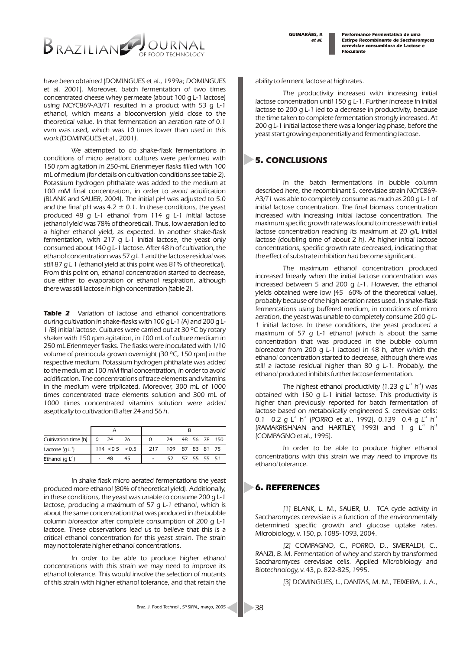*Performance Fermentativa de uma Estirpe Recombinante de Saccharomyces cerevisiae consumidora de Lactose e Floculante*



*have been obtained (DOMINGUES et al., 1999a; DOMINGUES et al. 2001). Moreover, batch fermentation of two times concentrated cheese whey permeate (about 100 g L-1 lactose) using NCYC869-A3/T1 resulted in a product with 53 g L-1 ethanol, which means a bioconversion yield close to the theoretical value. In that fermentation an aeration rate of 0.1 vvm was used, which was 10 times lower than used in this work (DOMINGUES et al., 2001).*

*We attempted to do shake-flask fermentations in conditions of micro aeration: cultures were performed with 150 rpm agitation in 250-mL Erlenmeyer flasks filled with 100 mL of medium (for details on cultivation conditions see table 2). Potassium hydrogen phthalate was added to the medium at 100 mM final concentration, in order to avoid acidification (BLANK and SAUER, 2004). The initial pH was adjusted to 5.0 and the final pH was 4.2 ± 0.1. In these conditions, the yeast produced 48 g L-1 ethanol from 114 g L-1 initial lactose (ethanol yield was 78% of theoretical). Thus, low aeration led to a higher ethanol yield, as expected. In another shake-flask fermentation, with 217 g L-1 initial lactose, the yeast only consumed about 140 g L-1 lactose. After 48 h of cultivation, the ethanol concentration was 57 g L 1 and the lactose residual was still 87 g L 1 (ethanol yield at this point was 81% of theoretical). From this point on, ethanol concentration started to decrease, due either to evaporation or ethanol respiration, although there was still lactose in high concentration (table 2).*

*Table 2 Variation of lactose and ethanol concentrations during cultivation in shake-flasks with 100 g L-1 (A) and 200 g L-1 (B) initial lactose. Cultures were carried out at 30 ºC by rotary shaker with 150 rpm agitation, in 100 mL of culture medium in 250 mL Erlenmeyer flasks. The flasks were inoculated with 1/10 volume of preinocula grown overnight (30 ºC, 150 rpm) in the respective medium. Potassium hydrogen phthalate was added to the medium at 100 mM final concentration, in order to avoid acidification. The concentrations of trace elements and vitamins in the medium were triplicated. Moreover, 300 mL of 1000 times concentrated trace elements solution and 300 mL of 1000 times concentrated vitamins solution were added aseptically to cultivation B after 24 and 56 h.*

| Cultivation time $(h)$   0 |  | 24 | 26             |     | 24              |             |  |  | 48 56 78 150 |
|----------------------------|--|----|----------------|-----|-----------------|-------------|--|--|--------------|
| Lactose $(q L^1)$          |  |    | 114 < 05 < 0.5 | 217 | 109 87 83 81 75 |             |  |  |              |
| Ethanol $(q L^1)$          |  |    | 45             |     | 52.             | 57 55 55 51 |  |  |              |

*In shake flask micro aerated fermentations the yeast produced more ethanol (80% of theoretical yield). Additionally, in these conditions, the yeast was unable to consume 200 g L-1 lactose, producing a maximum of 57 g L-1 ethanol, which is about the same concentration that was produced in the bubble column bioreactor after complete consumption of 200 g L-1 lactose. These observations lead us to believe that this is a critical ethanol concentration for this yeast strain. The strain may not tolerate higher ethanol concentrations.* 

*In order to be able to produce higher ethanol concentrations with this strain we may need to improve its ethanol tolerance. This would involve the selection of mutants of this strain with higher ethanol tolerance, and that retain the* 

*ability to ferment lactose at high rates.*

*The productivity increased with increasing initial lactose concentration until 150 g L-1. Further increase in initial lactose to 200 g L-1 led to a decrease in productivity, because the time taken to complete fermentation strongly increased. At 200 g L-1 initial lactose there was a longer lag phase, before the yeast start growing exponentially and fermenting lactose.*

## *5. CONCLUSIONS*

*In the batch fermentations in bubble column described here, the recombinant S. cerevisiae strain NCYC869- A3/T1 was able to completely consume as much as 200 g L-1 of initial lactose concentration. The final biomass concentration increased with increasing initial lactose concentration. The maximum specific growth rate was found to increase with initial lactose concentration reaching its maximum at 20 g/L initial lactose (doubling time of about 2 h). At higher initial lactose concentrations, specific growth rate decreased, indicating that the effect of substrate inhibition had become significant.* 

*The maximum ethanol concentration produced increased linearly when the initial lactose concentration was increased between 5 and 200 g L-1. However, the ethanol yields obtained were low (45 60% of the theoretical value), probably because of the high aeration rates used. In shake-flask fermentations using buffered medium, in conditions of micro aeration, the yeast was unable to completely consume 200 g L-1 initial lactose. In these conditions, the yeast produced a maximum of 57 g L-1 ethanol (which is about the same concentration that was produced in the bubble column bioreactor from 200 g L-1 lactose) in 48 h, after which the ethanol concentration started to decrease, although there was still a lactose residual higher than 80 g L-1. Probably, the ethanol produced inhibits further lactose fermentation.*

*The highest ethanol productivity (1.23 g L<sup>-1</sup> h<sup>-1</sup>) was obtained with 150 g L-1 initial lactose. This productivity is higher than previously reported for batch fermentation of lactose based on metabolically engineered S. cerevisiae cells:*  0.1 0.2 g L<sup>1</sup> h<sup>1</sup> (PORRO et al., 1992), 0.139 0.4 g L<sup>1</sup> h<sup>1</sup> *(RAMAKRISHNAN and HARTLEY, 1993) and 1 g L<sup>1</sup> h<sup>-1</sup> (COMPAGNO et al., 1995).*

*In order to be able to produce higher ethanol concentrations with this strain we may need to improve its ethanol tolerance.* 

## *6. REFERENCES*

*[1] BLANK, L. M., SAUER, U. TCA cycle activity in Saccharomyces cerevisiae is a function of the environmentally determined specific growth and glucose uptake rates. Microbiology, v. 150, p. 1085-1093, 2004.*

*[2] COMPAGNO, C., PORRO, D., SMERALDI, C., RANZI, B. M. Fermentation of whey and starch by transformed Saccharomyces cerevisiae cells. Applied Microbiology and Biotechnology, v. 43, p. 822-825, 1995.*

*[3] DOMINGUES, L., DANTAS, M. M., TEIXEIRA, J. A.,*